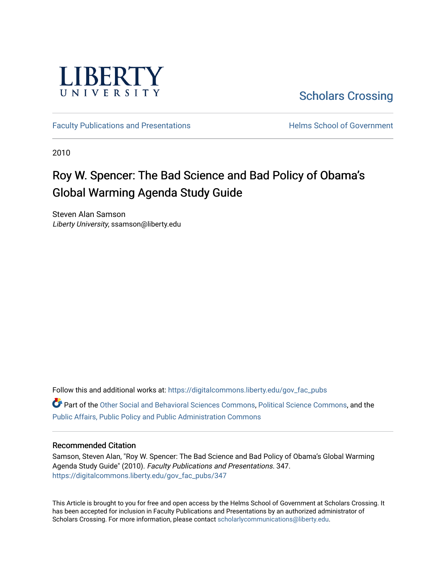

[Scholars Crossing](https://digitalcommons.liberty.edu/) 

[Faculty Publications and Presentations](https://digitalcommons.liberty.edu/gov_fac_pubs) **Exercise School of Government** 

2010

# Roy W. Spencer: The Bad Science and Bad Policy of Obama's Global Warming Agenda Study Guide

Steven Alan Samson Liberty University, ssamson@liberty.edu

Follow this and additional works at: [https://digitalcommons.liberty.edu/gov\\_fac\\_pubs](https://digitalcommons.liberty.edu/gov_fac_pubs?utm_source=digitalcommons.liberty.edu%2Fgov_fac_pubs%2F347&utm_medium=PDF&utm_campaign=PDFCoverPages) Part of the [Other Social and Behavioral Sciences Commons](http://network.bepress.com/hgg/discipline/437?utm_source=digitalcommons.liberty.edu%2Fgov_fac_pubs%2F347&utm_medium=PDF&utm_campaign=PDFCoverPages), [Political Science Commons](http://network.bepress.com/hgg/discipline/386?utm_source=digitalcommons.liberty.edu%2Fgov_fac_pubs%2F347&utm_medium=PDF&utm_campaign=PDFCoverPages), and the [Public Affairs, Public Policy and Public Administration Commons](http://network.bepress.com/hgg/discipline/393?utm_source=digitalcommons.liberty.edu%2Fgov_fac_pubs%2F347&utm_medium=PDF&utm_campaign=PDFCoverPages)

### Recommended Citation

Samson, Steven Alan, "Roy W. Spencer: The Bad Science and Bad Policy of Obama's Global Warming Agenda Study Guide" (2010). Faculty Publications and Presentations. 347. [https://digitalcommons.liberty.edu/gov\\_fac\\_pubs/347](https://digitalcommons.liberty.edu/gov_fac_pubs/347?utm_source=digitalcommons.liberty.edu%2Fgov_fac_pubs%2F347&utm_medium=PDF&utm_campaign=PDFCoverPages)

This Article is brought to you for free and open access by the Helms School of Government at Scholars Crossing. It has been accepted for inclusion in Faculty Publications and Presentations by an authorized administrator of Scholars Crossing. For more information, please contact [scholarlycommunications@liberty.edu.](mailto:scholarlycommunications@liberty.edu)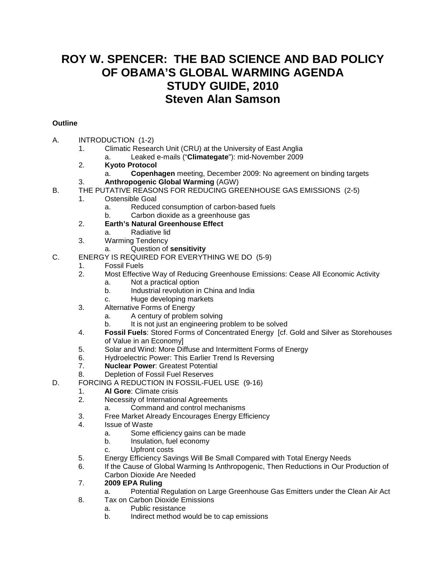## **ROY W. SPENCER: THE BAD SCIENCE AND BAD POLICY OF OBAMA'S GLOBAL WARMING AGENDA STUDY GUIDE, 2010 Steven Alan Samson**

### **Outline**

- A. INTRODUCTION (1-2)
	- 1. Climatic Research Unit (CRU) at the University of East Anglia
		- a. Leaked e-mails ("**Climategate**"): mid-November 2009
	- 2. **Kyoto Protocol**
		- a. **Copenhagen** meeting, December 2009: No agreement on binding targets
	- 3. **Anthropogenic Global Warming** (AGW)
- B. THE PUTATIVE REASONS FOR REDUCING GREENHOUSE GAS EMISSIONS (2-5)
	- 1. Ostensible Goal
		- a. Reduced consumption of carbon-based fuels
		- b. Carbon dioxide as a greenhouse gas
	- 2. **Earth's Natural Greenhouse Effect**
		- a. Radiative lid
	- 3. Warming Tendency
		- a. Question of **sensitivity**
- C. ENERGY IS REQUIRED FOR EVERYTHING WE DO (5-9)
	- 1. Fossil Fuels<br>2. Most Effectiv
	- 2. Most Effective Way of Reducing Greenhouse Emissions: Cease All Economic Activity
		- a. Not a practical option
			- b. Industrial revolution in China and India
			- c. Huge developing markets
	- 3. Alternative Forms of Energy
		- a. A century of problem solving
		- b. It is not just an engineering problem to be solved
	- 4. **Fossil Fuels**: Stored Forms of Concentrated Energy [cf. Gold and Silver as Storehouses of Value in an Economy]
	- 5. Solar and Wind: More Diffuse and Intermittent Forms of Energy<br>6. Hydroelectric Power: This Earlier Trend Is Reversing
	- Hydroelectric Power: This Earlier Trend Is Reversing
	- 7. **Nuclear Power**: Greatest Potential
	- 8. Depletion of Fossil Fuel Reserves
- D. FORCING A REDUCTION IN FOSSIL-FUEL USE (9-16)
	- 1. **Al Gore**: Climate crisis
	- 2. Necessity of International Agreements
		- a. Command and control mechanisms
	- 3. Free Market Already Encourages Energy Efficiency
	- 4. Issue of Waste
		- a. Some efficiency gains can be made
		- b. Insulation, fuel economy
		- c. Upfront costs
	- 5. Energy Efficiency Savings Will Be Small Compared with Total Energy Needs
	- 6. If the Cause of Global Warming Is Anthropogenic, Then Reductions in Our Production of Carbon Dioxide Are Needed
	- 7. **2009 EPA Ruling**
		- a. Potential Regulation on Large Greenhouse Gas Emitters under the Clean Air Act
	- 8. Tax on Carbon Dioxide Emissions
		- a. Public resistance
		- b. Indirect method would be to cap emissions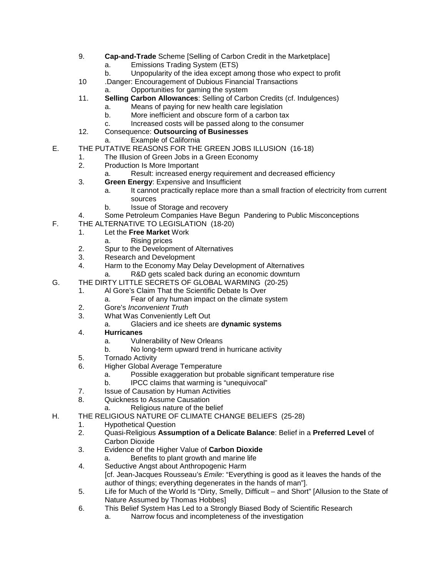- 9. **Cap-and-Trade** Scheme [Selling of Carbon Credit in the Marketplace]
	- a. Emissions Trading System (ETS)
	- b. Unpopularity of the idea except among those who expect to profit
- 10 .Danger: Encouragement of Dubious Financial Transactions
	- a. Opportunities for gaming the system
- 11. **Selling Carbon Allowances**: Selling of Carbon Credits (cf. Indulgences)
	- a. Means of paying for new health care legislation
	- b. More inefficient and obscure form of a carbon tax
	- c. Increased costs will be passed along to the consumer
- 12. Consequence: **Outsourcing of Businesses**
	- a. Example of California
- E. THE PUTATIVE REASONS FOR THE GREEN JOBS ILLUSION (16-18)
	- 1. The Illusion of Green Jobs in a Green Economy
	- 2. Production Is More Important
		- a. Result: increased energy requirement and decreased efficiency
	- 3. **Green Energy**: Expensive and Insufficient
		- a. It cannot practically replace more than a small fraction of electricity from current sources
		- b. Issue of Storage and recovery
	- 4. Some Petroleum Companies Have Begun Pandering to Public Misconceptions
- F. THE ALTERNATIVE TO LEGISLATION (18-20)
	- 1. Let the **Free Market** Work
		- a. Rising prices
	- 2. Spur to the Development of Alternatives<br>3. Research and Development
	- Research and Development
	- 4. Harm to the Economy May Delay Development of Alternatives
	- R&D gets scaled back during an economic downturn
- G. THE DIRTY LITTLE SECRETS OF GLOBAL WARMING (20-25)
	- 1. Al Gore's Claim That the Scientific Debate Is Over
		- Fear of any human impact on the climate system
	- 2. Gore's *Inconvenient Truth*
	- 3. What Was Conveniently Left Out
		- a. Glaciers and ice sheets are **dynamic systems**
	- 4. **Hurricanes**
		- a. Vulnerability of New Orleans
		- b. No long-term upward trend in hurricane activity
	- 5. Tornado Activity
	- 6. Higher Global Average Temperature
		- a. Possible exaggeration but probable significant temperature rise
		- b. IPCC claims that warming is "unequivocal"
	- 7. Issue of Causation by Human Activities<br>8. Cuickness to Assume Causation
	- Quickness to Assume Causation
		- a. Religious nature of the belief
- H. THE RELIGIOUS NATURE OF CLIMATE CHANGE BELIEFS (25-28)
	- 1. Hypothetical Question<br>2. Cuasi-Religious Assur
	- 2. Quasi-Religious **Assumption of a Delicate Balance**: Belief in a **Preferred Level** of Carbon Dioxide
	- 3. Evidence of the Higher Value of **Carbon Dioxide**
		- a. Benefits to plant growth and marine life
	- 4. Seductive Angst about Anthropogenic Harm [cf. Jean-Jacques Rousseau's *Emile*: "Everything is good as it leaves the hands of the author of things; everything degenerates in the hands of man"].
	- 5. Life for Much of the World Is "Dirty, Smelly, Difficult and Short" [Allusion to the State of Nature Assumed by Thomas Hobbes]
	- 6. This Belief System Has Led to a Strongly Biased Body of Scientific Research
		- a. Narrow focus and incompleteness of the investigation